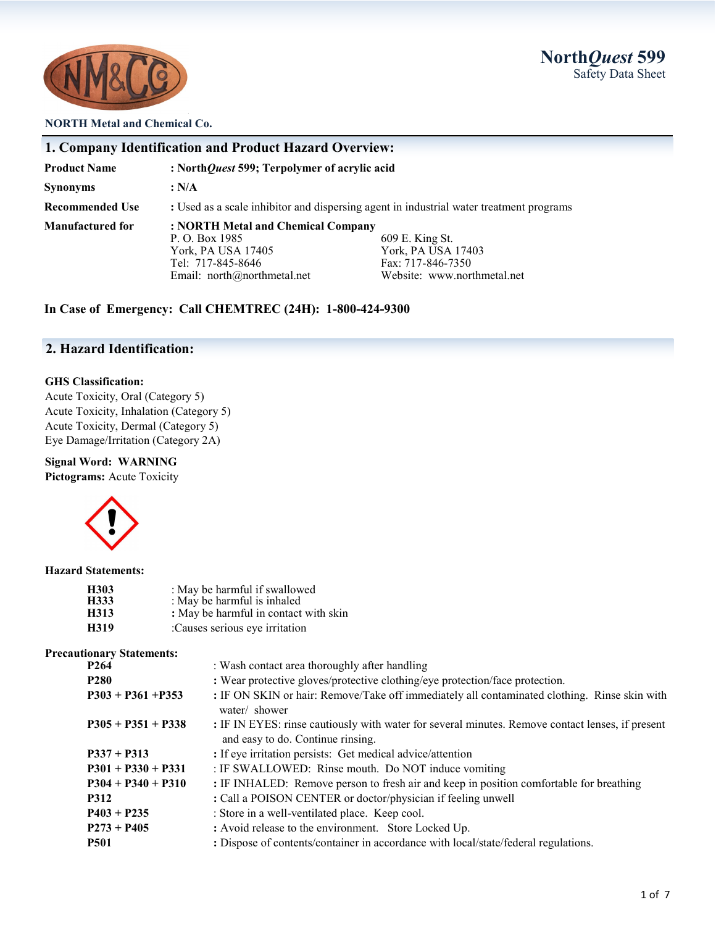



#### **NORTH Metal and Chemical Co.**

| 1. Company Identification and Product Hazard Overview: |                                                                                                                              |                                                                                           |
|--------------------------------------------------------|------------------------------------------------------------------------------------------------------------------------------|-------------------------------------------------------------------------------------------|
| <b>Product Name</b>                                    | : NorthQuest 599; Terpolymer of acrylic acid                                                                                 |                                                                                           |
| <b>Synonyms</b>                                        | : N/A                                                                                                                        |                                                                                           |
| <b>Recommended Use</b>                                 | : Used as a scale inhibitor and dispersing agent in industrial water treatment programs                                      |                                                                                           |
| Manufactured for                                       | : NORTH Metal and Chemical Company<br>P. O. Box 1985<br>York, PA USA 17405<br>Tel: 717-845-8646<br>Email: $north@normal.net$ | 609 E. King St.<br>York, PA USA 17403<br>Fax: 717-846-7350<br>Website: www.northmetal.net |

**In Case of Emergency: Call CHEMTREC (24H): 1-800-424-9300**

## **2. Hazard Identification:**

### **GHS Classification:**

Acute Toxicity, Oral (Category 5) Acute Toxicity, Inhalation (Category 5) Acute Toxicity, Dermal (Category 5) Eye Damage/Irritation (Category 2A)

### **Signal Word: WARNING**

**Pictograms:** Acute Toxicity



#### **Hazard Statements:**

| H303 | : May be harmful if swallowed         |
|------|---------------------------------------|
| H333 | : May be harmful is inhaled           |
| H313 | : May be harmful in contact with skin |
| H319 | :Causes serious eye irritation        |

#### **Precautionary Statements:**

| noman , peacements,  |                                                                                                                                       |
|----------------------|---------------------------------------------------------------------------------------------------------------------------------------|
| P <sub>264</sub>     | : Wash contact area thoroughly after handling                                                                                         |
| <b>P280</b>          | : Wear protective gloves/protective clothing/eye protection/face protection.                                                          |
| $P303 + P361 + P353$ | : IF ON SKIN or hair: Remove/Take off immediately all contaminated clothing. Rinse skin with<br>water/ shower                         |
| $P305 + P351 + P338$ | : IF IN EYES: rinse cautiously with water for several minutes. Remove contact lenses, if present<br>and easy to do. Continue rinsing. |
| $P337 + P313$        | : If eye irritation persists: Get medical advice/attention                                                                            |
| $P301 + P330 + P331$ | : IF SWALLOWED: Rinse mouth. Do NOT induce vomiting                                                                                   |
| $P304 + P340 + P310$ | : IF INHALED: Remove person to fresh air and keep in position comfortable for breathing                                               |
| <b>P312</b>          | : Call a POISON CENTER or doctor/physician if feeling unwell                                                                          |
| $P403 + P235$        | : Store in a well-ventilated place. Keep cool.                                                                                        |
| $P273 + P405$        | : Avoid release to the environment. Store Locked Up.                                                                                  |
| <b>P501</b>          | : Dispose of contents/container in accordance with local/state/federal regulations.                                                   |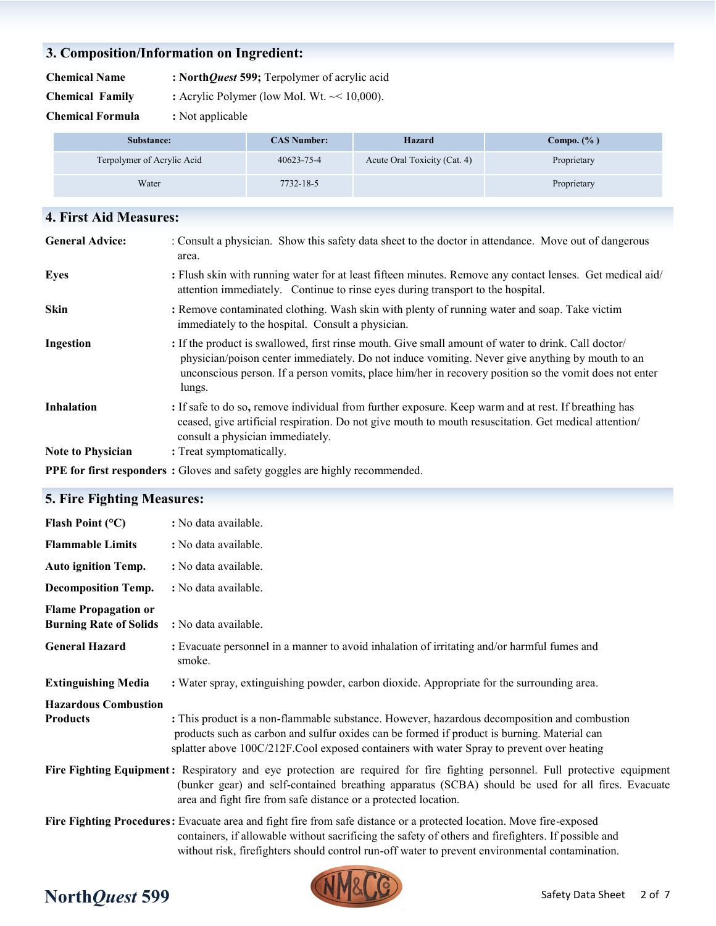# **3. Composition/Information on Ingredient:**

**Chemical Name : North***Quest* **599;** Terpolymer of acrylic acid

**Chemical Family :** Acrylic Polymer (low Mol. Wt.  $\sim$  10,000).

**Chemical Formula :** Not applicable

| Substance:                 | <b>CAS Number:</b> | Hazard                       | Compo. $(\%$ ) |
|----------------------------|--------------------|------------------------------|----------------|
| Terpolymer of Acrylic Acid | 40623-75-4         | Acute Oral Toxicity (Cat. 4) | Proprietary    |
| Water                      | 7732-18-5          |                              | Proprietary    |

| 4. First Aid Measures:   |                                                                                                                                                                                                                                                                                                                            |
|--------------------------|----------------------------------------------------------------------------------------------------------------------------------------------------------------------------------------------------------------------------------------------------------------------------------------------------------------------------|
| <b>General Advice:</b>   | : Consult a physician. Show this safety data sheet to the doctor in attendance. Move out of dangerous<br>area.                                                                                                                                                                                                             |
| <b>Eyes</b>              | : Flush skin with running water for at least fifteen minutes. Remove any contact lenses. Get medical aid/<br>attention immediately. Continue to rinse eyes during transport to the hospital.                                                                                                                               |
| <b>Skin</b>              | : Remove contaminated clothing. Wash skin with plenty of running water and soap. Take victim<br>immediately to the hospital. Consult a physician.                                                                                                                                                                          |
| <b>Ingestion</b>         | : If the product is swallowed, first rinse mouth. Give small amount of water to drink. Call doctor/<br>physician/poison center immediately. Do not induce vomiting. Never give anything by mouth to an<br>unconscious person. If a person vomits, place him/her in recovery position so the vomit does not enter<br>lungs. |
| <b>Inhalation</b>        | : If safe to do so, remove individual from further exposure. Keep warm and at rest. If breathing has<br>ceased, give artificial respiration. Do not give mouth to mouth resuscitation. Get medical attention/<br>consult a physician immediately.                                                                          |
| <b>Note to Physician</b> | : Treat symptomatically.                                                                                                                                                                                                                                                                                                   |
|                          | <b>PPE for first responders</b> : Gloves and safety goggles are highly recommended.                                                                                                                                                                                                                                        |

# **5. Fire Fighting Measures:**

| Flash Point $(^{\circ}C)$                                    | : No data available.                                                                                                                                                                                                                                                                                                           |
|--------------------------------------------------------------|--------------------------------------------------------------------------------------------------------------------------------------------------------------------------------------------------------------------------------------------------------------------------------------------------------------------------------|
| <b>Flammable Limits</b>                                      | : No data available.                                                                                                                                                                                                                                                                                                           |
| <b>Auto ignition Temp.</b>                                   | : No data available.                                                                                                                                                                                                                                                                                                           |
| <b>Decomposition Temp.</b>                                   | : No data available.                                                                                                                                                                                                                                                                                                           |
| <b>Flame Propagation or</b><br><b>Burning Rate of Solids</b> | : No data available.                                                                                                                                                                                                                                                                                                           |
| <b>General Hazard</b>                                        | : Evacuate personnel in a manner to avoid inhalation of irritating and/or harmful fumes and<br>smoke.                                                                                                                                                                                                                          |
| <b>Extinguishing Media</b>                                   | : Water spray, extinguishing powder, carbon dioxide. Appropriate for the surrounding area.                                                                                                                                                                                                                                     |
| <b>Hazardous Combustion</b>                                  |                                                                                                                                                                                                                                                                                                                                |
| <b>Products</b>                                              | : This product is a non-flammable substance. However, hazardous decomposition and combustion<br>products such as carbon and sulfur oxides can be formed if product is burning. Material can<br>splatter above 100C/212F.Cool exposed containers with water Spray to prevent over heating                                       |
|                                                              | Fire Fighting Equipment: Respiratory and eye protection are required for fire fighting personnel. Full protective equipment<br>(bunker gear) and self-contained breathing apparatus (SCBA) should be used for all fires. Evacuate<br>area and fight fire from safe distance or a protected location.                           |
|                                                              | Fire Fighting Procedures: Evacuate area and fight fire from safe distance or a protected location. Move fire-exposed<br>containers, if allowable without sacrificing the safety of others and firefighters. If possible and<br>without risk, firefighters should control run-off water to prevent environmental contamination. |



# **North***Quest* **599**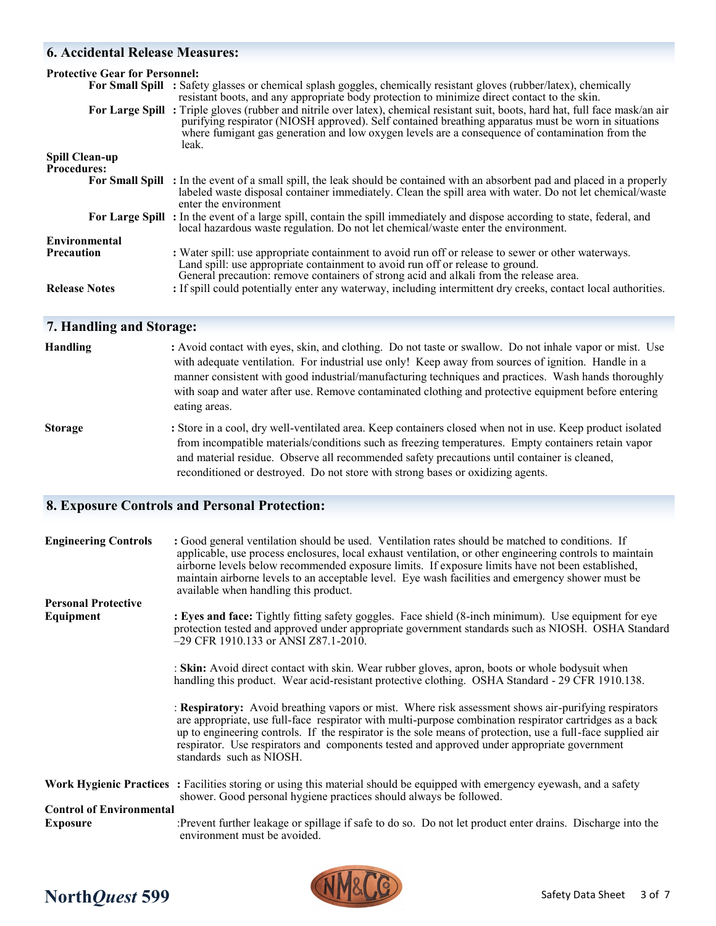# **6. Accidental Release Measures:**

| <b>Protective Gear for Personnel:</b>       | For Small Spill : Safety glasses or chemical splash goggles, chemically resistant gloves (rubber/latex), chemically<br>resistant boots, and any appropriate body protection to minimize direct contact to the skin.<br>For Large Spill: Triple gloves (rubber and nitrile over latex), chemical resistant suit, boots, hard hat, full face mask/an air |
|---------------------------------------------|--------------------------------------------------------------------------------------------------------------------------------------------------------------------------------------------------------------------------------------------------------------------------------------------------------------------------------------------------------|
|                                             | purifying respirator (NIOSH approved). Self contained breathing apparatus must be worn in situations<br>where fumigant gas generation and low oxygen levels are a consequence of contamination from the<br>leak.                                                                                                                                       |
| <b>Spill Clean-up</b><br><b>Procedures:</b> |                                                                                                                                                                                                                                                                                                                                                        |
|                                             |                                                                                                                                                                                                                                                                                                                                                        |
|                                             | <b>For Small Spill</b> : In the event of a small spill, the leak should be contained with an absorbent pad and placed in a properly<br>labeled waste disposal container immediately. Clean the spill area with water. Do not let chemical/waste<br>enter the environment                                                                               |
|                                             | For Large Spill: In the event of a large spill, contain the spill immediately and dispose according to state, federal, and<br>local hazardous waste regulation. Do not let chemical/waste enter the environment.                                                                                                                                       |
| Environmental                               |                                                                                                                                                                                                                                                                                                                                                        |
|                                             |                                                                                                                                                                                                                                                                                                                                                        |
| <b>Precaution</b>                           | : Water spill: use appropriate containment to avoid run off or release to sewer or other waterways.<br>Land spill: use appropriate containment to avoid run off or release to ground.<br>General precaution: remove containers of strong acid and alkali from the release area.                                                                        |
| <b>Release Notes</b>                        | : If spill could potentially enter any waterway, including intermittent dry creeks, contact local authorities.                                                                                                                                                                                                                                         |

# **7. Handling and Storage:**

| Handling       | : Avoid contact with eyes, skin, and clothing. Do not taste or swallow. Do not inhale vapor or mist. Use<br>with adequate ventilation. For industrial use only! Keep away from sources of ignition. Handle in a<br>manner consistent with good industrial/manufacturing techniques and practices. Wash hands thoroughly |
|----------------|-------------------------------------------------------------------------------------------------------------------------------------------------------------------------------------------------------------------------------------------------------------------------------------------------------------------------|
|                | with soap and water after use. Remove contaminated clothing and protective equipment before entering<br>eating areas.                                                                                                                                                                                                   |
| <b>Storage</b> | : Store in a cool, dry well-ventilated area. Keep containers closed when not in use. Keep product isolated<br>from incompatible materials/conditions such as freezing temperatures. Empty containers retain vapor<br>and material residue. Observe all recommended safety precautions until container is cleaned,       |

reconditioned or destroyed. Do not store with strong bases or oxidizing agents.

# **8. Exposure Controls and Personal Protection:**

| <b>Engineering Controls</b>     | : Good general ventilation should be used. Ventilation rates should be matched to conditions. If<br>applicable, use process enclosures, local exhaust ventilation, or other engineering controls to maintain<br>airborne levels below recommended exposure limits. If exposure limits have not been established,<br>maintain airborne levels to an acceptable level. Eye wash facilities and emergency shower must be<br>available when handling this product. |
|---------------------------------|----------------------------------------------------------------------------------------------------------------------------------------------------------------------------------------------------------------------------------------------------------------------------------------------------------------------------------------------------------------------------------------------------------------------------------------------------------------|
| <b>Personal Protective</b>      |                                                                                                                                                                                                                                                                                                                                                                                                                                                                |
| Equipment                       | : Eyes and face: Tightly fitting safety goggles. Face shield (8-inch minimum). Use equipment for eye<br>protection tested and approved under appropriate government standards such as NIOSH. OSHA Standard<br>$-29$ CFR 1910.133 or ANSI Z87.1-2010.                                                                                                                                                                                                           |
|                                 | : Skin: Avoid direct contact with skin. Wear rubber gloves, apron, boots or whole bodysuit when<br>handling this product. Wear acid-resistant protective clothing. OSHA Standard - 29 CFR 1910.138.                                                                                                                                                                                                                                                            |
|                                 | : Respiratory: Avoid breathing vapors or mist. Where risk assessment shows air-purifying respirators<br>are appropriate, use full-face respirator with multi-purpose combination respirator cartridges as a back<br>up to engineering controls. If the respirator is the sole means of protection, use a full-face supplied air<br>respirator. Use respirators and components tested and approved under appropriate government<br>standards such as NIOSH.     |
|                                 | Work Hygienic Practices: Facilities storing or using this material should be equipped with emergency eyewash, and a safety<br>shower. Good personal hygiene practices should always be followed.                                                                                                                                                                                                                                                               |
| <b>Control of Environmental</b> |                                                                                                                                                                                                                                                                                                                                                                                                                                                                |
|                                 |                                                                                                                                                                                                                                                                                                                                                                                                                                                                |
| <b>Exposure</b>                 | :Prevent further leakage or spillage if safe to do so. Do not let product enter drains. Discharge into the<br>environment must be avoided.                                                                                                                                                                                                                                                                                                                     |

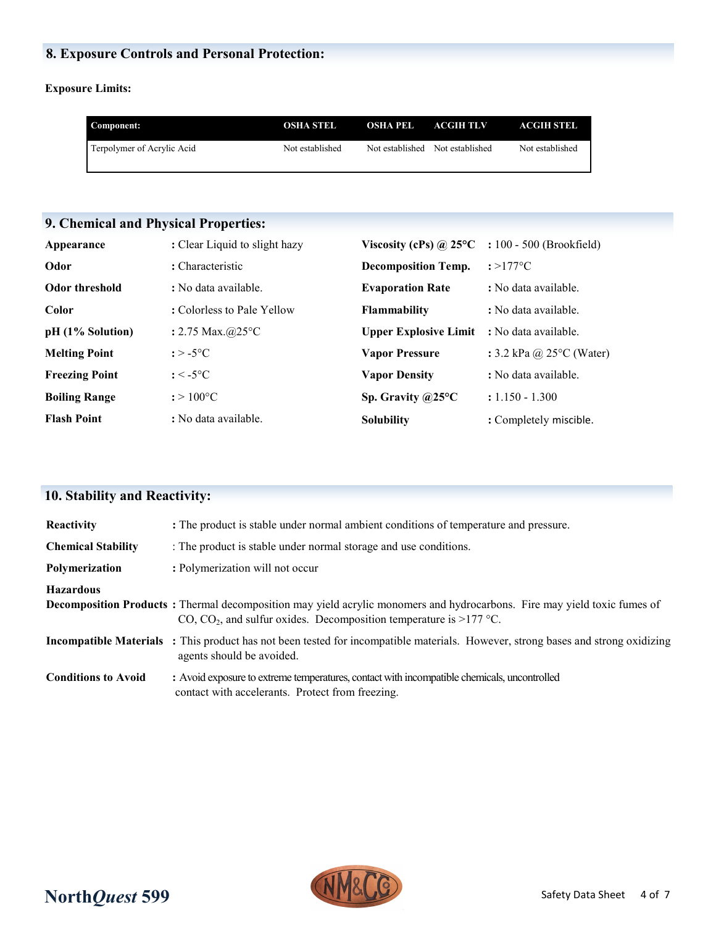# **8. Exposure Controls and Personal Protection:**

### **Exposure Limits:**

| Component:                 | OSHA STEL       | <b>OSHA PEL ACGIH TLV</b>       | ACGIH STEL      |
|----------------------------|-----------------|---------------------------------|-----------------|
| Terpolymer of Acrylic Acid | Not established | Not established Not established | Not established |

# **9. Chemical and Physical Properties:**

| Appearance            | : Clear Liquid to slight hazy | Viscosity (cPs) @ $25^{\circ}$ C | : 100 - 500 (Brookfield)           |
|-----------------------|-------------------------------|----------------------------------|------------------------------------|
| Odor                  | : Characteristic              | <b>Decomposition Temp.</b>       | $: >177^{\circ}C$                  |
| <b>Odor threshold</b> | : No data available.          | <b>Evaporation Rate</b>          | : No data available.               |
| Color                 | : Colorless to Pale Yellow    | <b>Flammability</b>              | : No data available.               |
| $pH (1%$ Solution)    | : 2.75 Max. $@25°C$           | <b>Upper Explosive Limit</b>     | : No data available.               |
| <b>Melting Point</b>  | $: > -5$ °C                   | <b>Vapor Pressure</b>            | : 3.2 kPa @ $25^{\circ}$ C (Water) |
| <b>Freezing Point</b> | $: < -5$ °C                   | <b>Vapor Density</b>             | : No data available.               |
| <b>Boiling Range</b>  | $: > 100^{\circ}C$            | Sp. Gravity $@25°C$              | $: 1.150 - 1.300$                  |
| <b>Flash Point</b>    | : No data available.          | <b>Solubility</b>                | : Completely miscible.             |

# **10. Stability and Reactivity:**

| Reactivity                 | : The product is stable under normal ambient conditions of temperature and pressure.                                                                                                                               |
|----------------------------|--------------------------------------------------------------------------------------------------------------------------------------------------------------------------------------------------------------------|
| <b>Chemical Stability</b>  | : The product is stable under normal storage and use conditions.                                                                                                                                                   |
| Polymerization             | : Polymerization will not occur                                                                                                                                                                                    |
| <b>Hazardous</b>           | <b>Decomposition Products</b> : Thermal decomposition may yield acrylic monomers and hydrocarbons. Fire may yield toxic fumes of<br>CO, CO <sub>2</sub> , and sulfur oxides. Decomposition temperature is >177 °C. |
|                            | <b>Incompatible Materials</b> : This product has not been tested for incompatible materials. However, strong bases and strong oxidizing<br>agents should be avoided.                                               |
| <b>Conditions to Avoid</b> | : Avoid exposure to extreme temperatures, contact with incompatible chemicals, uncontrolled<br>contact with accelerants. Protect from freezing.                                                                    |

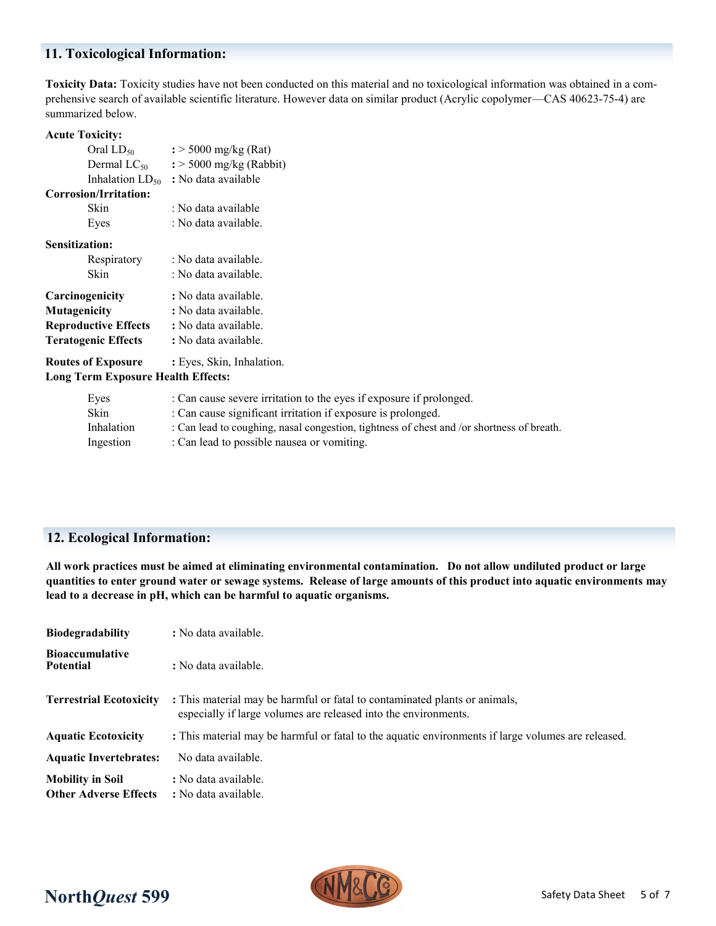### **11. Toxicological Information:**

**Toxicity Data:** Toxicity studies have not been conducted on this material and no toxicological information was obtained in a comprehensive search of available scientific literature. However data on similar product (Acrylic copolymer—CAS 40623-75-4) are summarized below.

### **Acute Toxicity:**

| Oral $LD_{50}$              | $\frac{1}{2}$ > 5000 mg/kg (Rat)    |  |
|-----------------------------|-------------------------------------|--|
| Dermal $LC_{50}$            | $\frac{1}{2}$ > 5000 mg/kg (Rabbit) |  |
| Inhalation $LD_{50}$        | : No data available                 |  |
| Corrosion/Irritation:       |                                     |  |
| Skin                        | : No data available                 |  |
| Eyes                        | : No data available.                |  |
| Sensitization:              |                                     |  |
| Respiratory                 | : No data available.                |  |
| Skin                        | : No data available.                |  |
| Carcinogenicity             | : No data available.                |  |
| <b>Mutagenicity</b>         | : No data available.                |  |
| <b>Reproductive Effects</b> | : No data available.                |  |
| <b>Teratogenic Effects</b>  | : No data available.                |  |
| <b>Routes of Exposure</b>   | : Eyes, Skin, Inhalation.           |  |

### **Long Term Exposure Health Effects:**

| Eyes       | : Can cause severe irritation to the eyes if exposure if prolonged.                       |
|------------|-------------------------------------------------------------------------------------------|
| Skin       | : Can cause significant irritation if exposure is prolonged.                              |
| Inhalation | : Can lead to coughing, nasal congestion, tightness of chest and /or shortness of breath. |
| Ingestion  | : Can lead to possible nausea or vomiting.                                                |

# **12. Ecological Information:**

**All work practices must be aimed at eliminating environmental contamination. Do not allow undiluted product or large quantities to enter ground water or sewage systems. Release of large amounts of this product into aquatic environments may lead to a decrease in pH, which can be harmful to aquatic organisms.**

| <b>Biodegradability</b>                                 | : No data available.                                                                                                                          |
|---------------------------------------------------------|-----------------------------------------------------------------------------------------------------------------------------------------------|
| <b>Bioaccumulative</b><br><b>Potential</b>              | : No data available.                                                                                                                          |
| <b>Terrestrial Ecotoxicity</b>                          | : This material may be harmful or fatal to contaminated plants or animals,<br>especially if large volumes are released into the environments. |
| <b>Aquatic Ecotoxicity</b>                              | : This material may be harmful or fatal to the aquatic environments if large volumes are released.                                            |
| <b>Aquatic Invertebrates:</b>                           | No data available.                                                                                                                            |
| <b>Mobility in Soil</b><br><b>Other Adverse Effects</b> | : No data available.<br>: No data available.                                                                                                  |

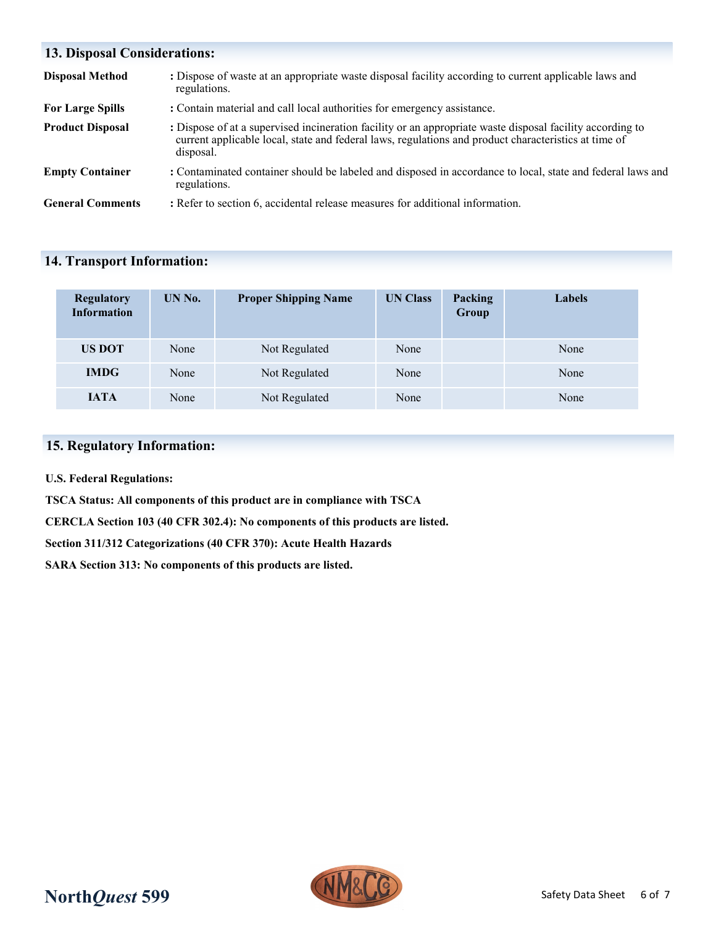# **13. Disposal Considerations: Disposal Method** : Dispose of waste at an appropriate waste disposal facility according to current applicable laws and regulations. For Large Spills : Contain material and call local authorities for emergency assistance. **Product Disposal :** Dispose of at a supervised incineration facility or an appropriate waste disposal facility according to current applicable local, state and federal laws, regulations and product characteristics at time of disposal. **Empty Container** : Contaminated container should be labeled and disposed in accordance to local, state and federal laws and regulations. **General Comments :** Refer to section 6, accidental release measures for additional information.

### **14. Transport Information:**

| <b>Regulatory</b><br><b>Information</b> | UN No. | <b>Proper Shipping Name</b> | <b>UN Class</b> | Packing<br>Group | Labels |
|-----------------------------------------|--------|-----------------------------|-----------------|------------------|--------|
| <b>US DOT</b>                           | None   | Not Regulated               | None            |                  | None   |
| <b>IMDG</b>                             | None   | Not Regulated               | None            |                  | None   |
| <b>JATA</b>                             | None   | Not Regulated               | None            |                  | None   |

### **15. Regulatory Information:**

**U.S. Federal Regulations:**

**TSCA Status: All components of this product are in compliance with TSCA**

**CERCLA Section 103 (40 CFR 302.4): No components of this products are listed.**

**Section 311/312 Categorizations (40 CFR 370): Acute Health Hazards**

**SARA Section 313: No components of this products are listed.**